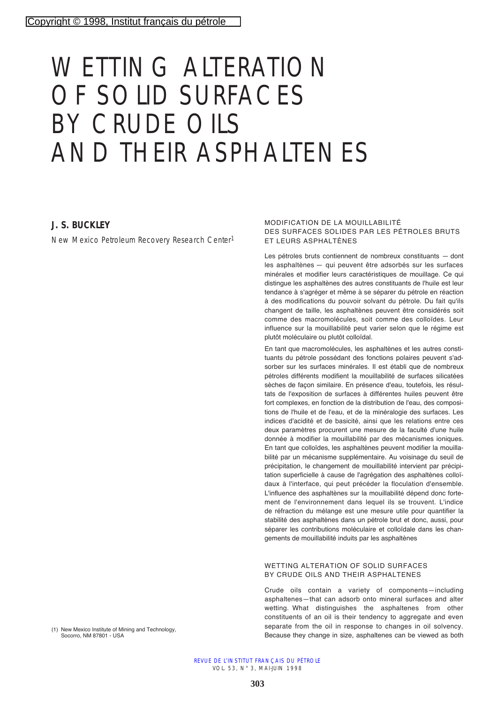# WETTING ALTERATION OF SOLID SURFACES BY CRUDE OILS AND THEIR ASPHALTENES

# **J. S. BUCKLEY**

New Mexico Petroleum Recovery Research Center<sup>1</sup>

#### MODIFICATION DE LA MOUILLABILITÉ DES SURFACES SOLIDES PAR LES PÉTROLES BRUTS ET LEURS ASPHALTÈNES

Les pétroles bruts contiennent de nombreux constituants — dont les asphaltènes — qui peuvent être adsorbés sur les surfaces minérales et modifier leurs caractéristiques de mouillage. Ce qui distingue les asphaltènes des autres constituants de l'huile est leur tendance à s'agréger et même à se séparer du pétrole en réaction à des modifications du pouvoir solvant du pétrole. Du fait qu'ils changent de taille, les asphaltènes peuvent être considérés soit comme des macromolécules, soit comme des colloïdes. Leur influence sur la mouillabilité peut varier selon que le régime est plutôt moléculaire ou plutôt colloïdal.

En tant que macromolécules, les asphaltènes et les autres constituants du pétrole possédant des fonctions polaires peuvent s'adsorber sur les surfaces minérales. Il est établi que de nombreux pétroles différents modifient la mouillabilité de surfaces silicatées sèches de façon similaire. En présence d'eau, toutefois, les résultats de l'exposition de surfaces à différentes huiles peuvent être fort complexes, en fonction de la distribution de l'eau, des compositions de l'huile et de l'eau, et de la minéralogie des surfaces. Les indices d'acidité et de basicité, ainsi que les relations entre ces deux paramètres procurent une mesure de la faculté d'une huile donnée à modifier la mouillabilité par des mécanismes ioniques. En tant que colloïdes, les asphaltènes peuvent modifier la mouillabilité par un mécanisme supplémentaire. Au voisinage du seuil de précipitation, le changement de mouillabilité intervient par précipitation superficielle à cause de l'agrégation des asphaltènes colloïdaux à l'interface, qui peut précéder la floculation d'ensemble. L'influence des asphaltènes sur la mouillabilité dépend donc fortement de l'environnement dans lequel ils se trouvent. L'indice de réfraction du mélange est une mesure utile pour quantifier la stabilité des asphaltènes dans un pétrole brut et donc, aussi, pour séparer les contributions moléculaire et colloïdale dans les changements de mouillabilité induits par les asphaltènes

#### WETTING ALTERATION OF SOLID SURFACES BY CRUDE OILS AND THEIR ASPHALTENES

Crude oils contain a variety of components—including asphaltenes—that can adsorb onto mineral surfaces and alter wetting. What distinguishes the asphaltenes from other constituents of an oil is their tendency to aggregate and even separate from the oil in response to changes in oil solvency. Because they change in size, asphaltenes can be viewed as both

(1) New Mexico Institute of Mining and Technology, Socorro, NM 87801 - USA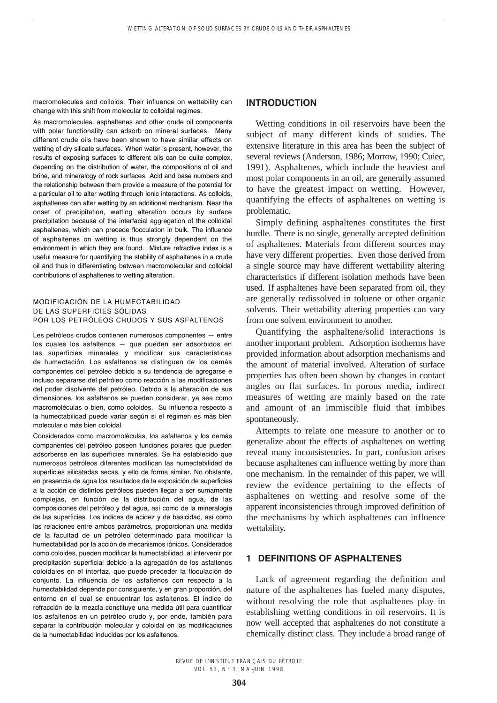macromolecules and colloids. Their influence on wettability can change with this shift from molecular to colloidal regimes.

As macromolecules, asphaltenes and other crude oil components with polar functionality can adsorb on mineral surfaces. Many different crude oils have been shown to have similar effects on wetting of dry silicate surfaces. When water is present, however, the results of exposing surfaces to different oils can be quite complex, depending on the distribution of water, the compositions of oil and brine, and mineralogy of rock surfaces. Acid and base numbers and the relationship between them provide a measure of the potential for a particular oil to alter wetting through ionic interactions. As colloids, asphaltenes can alter wetting by an additional mechanism. Near the onset of precipitation, wetting alteration occurs by surface precipitation because of the interfacial aggregation of the colloidal asphaltenes, which can precede flocculation in bulk. The influence of asphaltenes on wetting is thus strongly dependent on the environment in which they are found. Mixture refractive index is a useful measure for quantifying the stability of asphaltenes in a crude oil and thus in differentiating between macromolecular and colloidal contributions of asphaltenes to wetting alteration.

#### MODIFICACIÓN DE LA HUMECTABILIDAD DE LAS SUPERFICIES SÓLIDAS POR LOS PETRÓLEOS CRUDOS Y SUS ASFALTENOS

Les petróleos crudos contienen numerosos componentes — entre los cuales los asfaltenos — que pueden ser adsorbidos en las superficies minerales y modificar sus características de humectación. Los asfaltenos se distinguen de los demás componentes del petróleo debido a su tendencia de agregarse e incluso separarse del petróleo como reacción a las modificaciones del poder disolvente del petróleo. Debido a la alteración de sus dimensiones, los asfaltenos se pueden considerar, ya sea como macromoléculas o bien, como coloides. Su influencia respecto a la humectabilidad puede variar según si el régimen es más bien molecular o más bien coloidal.

Considerados como macromoléculas, los asfaltenos y los demás componentes del petróleo poseen funciones polares que pueden adsorberse en las superficies minerales. Se ha establecido que numerosos petróleos diferentes modifican las humectabilidad de superficies silicatadas secas, y ello de forma similar. No obstante, en presencia de agua los resultados de la exposición de superficies a la acción de distintos petróleos pueden llegar a ser sumamente complejas, en función de la distribución del agua, de las composiciones del petróleo y del agua, así como de la mineralogía de las superficies. Los índices de acidez y de basicidad, así como las relaciones entre ambos parámetros, proporcionan una medida de la facultad de un petróleo determinado para modificar la humectabilidad por la acción de mecanismos iónicos. Considerados como coloides, pueden modificar la humectabilidad, al intervenir por precipitación superficial debido a la agregación de los asfaltenos coloidales en el interfaz, que puede preceder la floculación de conjunto. La influencia de los asfaltenos con respecto a la humectabilidad depende por consiguiente, y en gran proporción, del entorno en el cual se encuentran los asfaltenos. El índice de refracción de la mezcla constituye una medida útil para cuantificar los asfaltenos en un petróleo crudo y, por ende, también para separar la contribución molecular y coloidal en las modificaciones de la humectabilidad inducidas por los asfaltenos.

#### **INTRODUCTION**

Wetting conditions in oil reservoirs have been the subject of many different kinds of studies. The extensive literature in this area has been the subject of several reviews (Anderson, 1986; Morrow, 1990; Cuiec, 1991). Asphaltenes, which include the heaviest and most polar components in an oil, are generally assumed to have the greatest impact on wetting. However, quantifying the effects of asphaltenes on wetting is problematic.

Simply defining asphaltenes constitutes the first hurdle. There is no single, generally accepted definition of asphaltenes. Materials from different sources may have very different properties. Even those derived from a single source may have different wettability altering characteristics if different isolation methods have been used. If asphaltenes have been separated from oil, they are generally redissolved in toluene or other organic solvents. Their wettability altering properties can vary from one solvent environment to another.

Quantifying the asphaltene/solid interactions is another important problem. Adsorption isotherms have provided information about adsorption mechanisms and the amount of material involved. Alteration of surface properties has often been shown by changes in contact angles on flat surfaces. In porous media, indirect measures of wetting are mainly based on the rate and amount of an immiscible fluid that imbibes spontaneously.

Attempts to relate one measure to another or to generalize about the effects of asphaltenes on wetting reveal many inconsistencies. In part, confusion arises because asphaltenes can influence wetting by more than one mechanism. In the remainder of this paper, we will review the evidence pertaining to the effects of asphaltenes on wetting and resolve some of the apparent inconsistencies through improved definition of the mechanisms by which asphaltenes can influence wettability.

## **1 DEFINITIONS OF ASPHALTENES**

Lack of agreement regarding the definition and nature of the asphaltenes has fueled many disputes, without resolving the role that asphaltenes play in establishing wetting conditions in oil reservoirs. It is now well accepted that asphaltenes do not constitute a chemically distinct class. They include a broad range of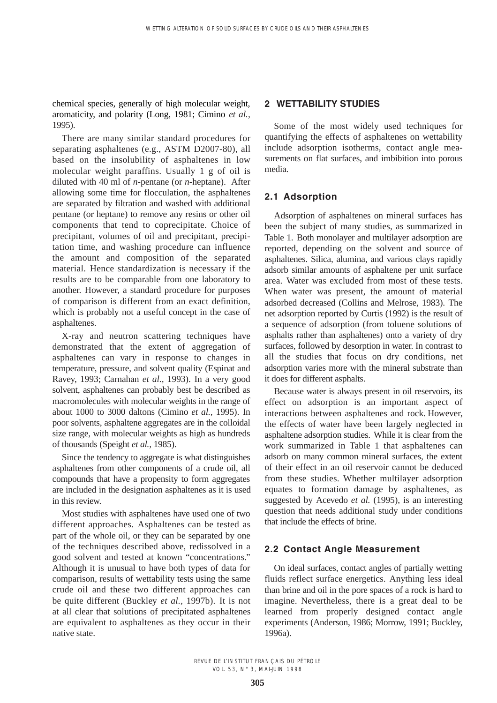chemical species, generally of high molecular weight, aromaticity, and polarity (Long, 1981; Cimino *et al.,* 1995).

There are many similar standard procedures for separating asphaltenes (e.g., ASTM D2007-80), all based on the insolubility of asphaltenes in low molecular weight paraffins. Usually 1 g of oil is diluted with 40 ml of *n*-pentane (or *n*-heptane). After allowing some time for flocculation, the asphaltenes are separated by filtration and washed with additional pentane (or heptane) to remove any resins or other oil components that tend to coprecipitate. Choice of precipitant, volumes of oil and precipitant, precipitation time, and washing procedure can influence the amount and composition of the separated material. Hence standardization is necessary if the results are to be comparable from one laboratory to another. However, a standard procedure for purposes of comparison is different from an exact definition, which is probably not a useful concept in the case of asphaltenes.

X-ray and neutron scattering techniques have demonstrated that the extent of aggregation of asphaltenes can vary in response to changes in temperature, pressure, and solvent quality (Espinat and Ravey, 1993; Carnahan *et al.,* 1993). In a very good solvent, asphaltenes can probably best be described as macromolecules with molecular weights in the range of about 1000 to 3000 daltons (Cimino *et al.,* 1995). In poor solvents, asphaltene aggregates are in the colloidal size range, with molecular weights as high as hundreds of thousands (Speight *et al.,* 1985).

Since the tendency to aggregate is what distinguishes asphaltenes from other components of a crude oil, all compounds that have a propensity to form aggregates are included in the designation asphaltenes as it is used in this review.

Most studies with asphaltenes have used one of two different approaches. Asphaltenes can be tested as part of the whole oil, or they can be separated by one of the techniques described above, redissolved in a good solvent and tested at known "concentrations." Although it is unusual to have both types of data for comparison, results of wettability tests using the same crude oil and these two different approaches can be quite different (Buckley *et al.,* 1997b). It is not at all clear that solutions of precipitated asphaltenes are equivalent to asphaltenes as they occur in their native state.

## **2 WETTABILITY STUDIES**

Some of the most widely used techniques for quantifying the effects of asphaltenes on wettability include adsorption isotherms, contact angle measurements on flat surfaces, and imbibition into porous media.

## **2.1 Adsorption**

Adsorption of asphaltenes on mineral surfaces has been the subject of many studies, as summarized in Table 1. Both monolayer and multilayer adsorption are reported, depending on the solvent and source of asphaltenes. Silica, alumina, and various clays rapidly adsorb similar amounts of asphaltene per unit surface area. Water was excluded from most of these tests. When water was present, the amount of material adsorbed decreased (Collins and Melrose, 1983). The net adsorption reported by Curtis (1992) is the result of a sequence of adsorption (from toluene solutions of asphalts rather than asphaltenes) onto a variety of dry surfaces, followed by desorption in water. In contrast to all the studies that focus on dry conditions, net adsorption varies more with the mineral substrate than it does for different asphalts.

Because water is always present in oil reservoirs, its effect on adsorption is an important aspect of interactions between asphaltenes and rock. However, the effects of water have been largely neglected in asphaltene adsorption studies. While it is clear from the work summarized in Table 1 that asphaltenes can adsorb on many common mineral surfaces, the extent of their effect in an oil reservoir cannot be deduced from these studies. Whether multilayer adsorption equates to formation damage by asphaltenes, as suggested by Acevedo *et al.* (1995), is an interesting question that needs additional study under conditions that include the effects of brine.

# **2.2 Contact Angle Measurement**

On ideal surfaces, contact angles of partially wetting fluids reflect surface energetics. Anything less ideal than brine and oil in the pore spaces of a rock is hard to imagine. Nevertheless, there is a great deal to be learned from properly designed contact angle experiments (Anderson, 1986; Morrow, 1991; Buckley, 1996a).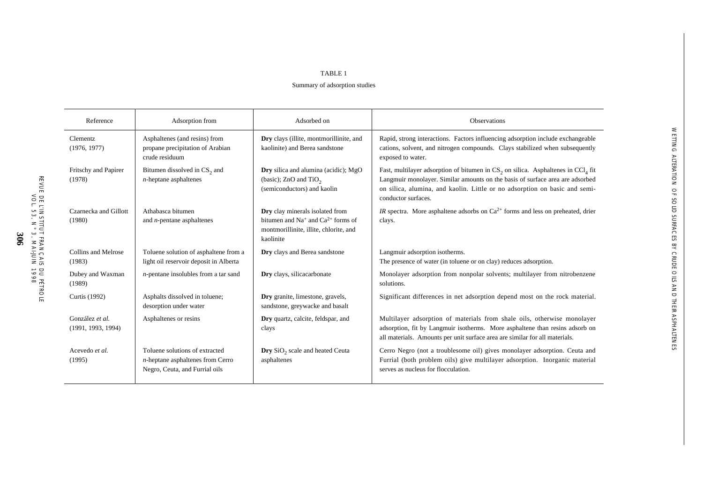#### TABLE 1

# Summary of adsorption studies

| Reference                             | Adsorption from                                                                                         | Adsorbed on                                                                                                                                         | Observations                                                                                                                                                                                                                                                                        |
|---------------------------------------|---------------------------------------------------------------------------------------------------------|-----------------------------------------------------------------------------------------------------------------------------------------------------|-------------------------------------------------------------------------------------------------------------------------------------------------------------------------------------------------------------------------------------------------------------------------------------|
| Clementz<br>(1976, 1977)              | Asphaltenes (and resins) from<br>propane precipitation of Arabian<br>crude residuum                     | Dry clays (illite, montmorillinite, and<br>kaolinite) and Berea sandstone                                                                           | Rapid, strong interactions. Factors influencing adsorption include exchangeable<br>cations, solvent, and nitrogen compounds. Clays stabilized when subsequently<br>exposed to water.                                                                                                |
| Fritschy and Papirer<br>(1978)        | Bitumen dissolved in $CS_2$ and<br>$n$ -heptane asphaltenes                                             | Dry silica and alumina (acidic); MgO<br>(basic); ZnO and $TiO2$<br>(semiconductors) and kaolin                                                      | Fast, multilayer adsorption of bitumen in $CS_2$ on silica. Asphaltenes in $\text{CCl}_4$ fit<br>Langmuir monolayer. Similar amounts on the basis of surface area are adsorbed<br>on silica, alumina, and kaolin. Little or no adsorption on basic and semi-<br>conductor surfaces. |
| Czarnecka and Gillott<br>(1980)       | Athabasca bitumen<br>and $n$ -pentane asphaltenes                                                       | Dry clay minerals isolated from<br>bitumen and Na <sup>+</sup> and Ca <sup>2+</sup> forms of<br>montmorillinite, illite, chlorite, and<br>kaolinite | <i>IR</i> spectra. More asphaltene adsorbs on $Ca^{2+}$ forms and less on preheated, drier<br>clays.                                                                                                                                                                                |
| Collins and Melrose                   | Toluene solution of asphaltene from a                                                                   | Dry clays and Berea sandstone                                                                                                                       | Langmuir adsorption isotherms.                                                                                                                                                                                                                                                      |
| (1983)                                | light oil reservoir deposit in Alberta                                                                  |                                                                                                                                                     | The presence of water (in toluene or on clay) reduces adsorption.                                                                                                                                                                                                                   |
| Dubey and Waxman<br>(1989)            | $n$ -pentane insolubles from a tar sand                                                                 | Dry clays, silicacarbonate                                                                                                                          | Monolayer adsorption from nonpolar solvents; multilayer from nitrobenzene<br>solutions.                                                                                                                                                                                             |
| Curtis (1992)                         | Asphalts dissolved in toluene;<br>desorption under water                                                | Dry granite, limestone, gravels,<br>sandstone, greywacke and basalt                                                                                 | Significant differences in net adsorption depend most on the rock material.                                                                                                                                                                                                         |
| González et al.<br>(1991, 1993, 1994) | Asphaltenes or resins                                                                                   | Dry quartz, calcite, feldspar, and<br>clays                                                                                                         | Multilayer adsorption of materials from shale oils, otherwise monolayer<br>adsorption, fit by Langmuir isotherms. More asphaltene than resins adsorb on<br>all materials. Amounts per unit surface area are similar for all materials.                                              |
| Acevedo et al.<br>(1995)              | Toluene solutions of extracted<br>$n$ -heptane asphaltenes from Cerro<br>Negro, Ceuta, and Furrial oils | Dry SiO <sub>2</sub> scale and heated Ceuta<br>asphaltenes                                                                                          | Cerro Negro (not a troublesome oil) gives monolayer adsorption. Ceuta and<br>Furrial (both problem oils) give multilayer adsorption. Inorganic material<br>serves as nucleus for flocculation.                                                                                      |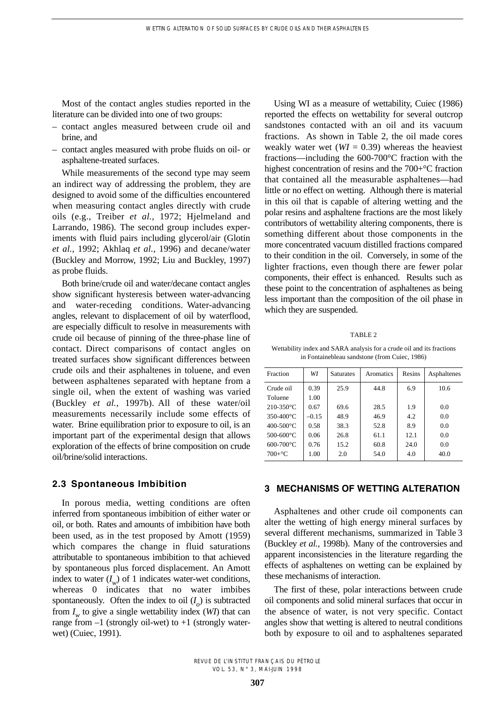Most of the contact angles studies reported in the literature can be divided into one of two groups:

- contact angles measured between crude oil and brine, and
- contact angles measured with probe fluids on oil- or asphaltene-treated surfaces.

While measurements of the second type may seem an indirect way of addressing the problem, they are designed to avoid some of the difficulties encountered when measuring contact angles directly with crude oils (e.g., Treiber *et al.,* 1972; Hjelmeland and Larrando, 1986). The second group includes experiments with fluid pairs including glycerol/air (Glotin *et al.,* 1992; Akhlaq *et al.,* 1996) and decane/water (Buckley and Morrow, 1992; Liu and Buckley, 1997) as probe fluids.

Both brine/crude oil and water/decane contact angles show significant hysteresis between water-advancing and water-receding conditions. Water-advancing angles, relevant to displacement of oil by waterflood, are especially difficult to resolve in measurements with crude oil because of pinning of the three-phase line of contact. Direct comparisons of contact angles on treated surfaces show significant differences between crude oils and their asphaltenes in toluene, and even between asphaltenes separated with heptane from a single oil, when the extent of washing was varied (Buckley *et al.,* 1997b). All of these water/oil measurements necessarily include some effects of water. Brine equilibration prior to exposure to oil, is an important part of the experimental design that allows exploration of the effects of brine composition on crude oil/brine/solid interactions.

#### **2.3 Spontaneous Imbibition**

In porous media, wetting conditions are often inferred from spontaneous imbibition of either water or oil, or both. Rates and amounts of imbibition have both been used, as in the test proposed by Amott (1959) which compares the change in fluid saturations attributable to spontaneous imbibition to that achieved by spontaneous plus forced displacement. An Amott index to water  $(I_w)$  of 1 indicates water-wet conditions, whereas 0 indicates that no water imbibes spontaneously. Often the index to oil  $(I_o)$  is subtracted from *I <sup>w</sup>* to give a single wettability index (*WI*) that can range from  $-1$  (strongly oil-wet) to  $+1$  (strongly waterwet) (Cuiec, 1991).

Using WI as a measure of wettability, Cuiec (1986) reported the effects on wettability for several outcrop sandstones contacted with an oil and its vacuum fractions. As shown in Table 2, the oil made cores weakly water wet  $(WI = 0.39)$  whereas the heaviest fractions—including the 600-700°C fraction with the highest concentration of resins and the 700+°C fraction that contained all the measurable asphaltenes—had little or no effect on wetting. Although there is material in this oil that is capable of altering wetting and the polar resins and asphaltene fractions are the most likely contributors of wettability altering components, there is something different about those components in the more concentrated vacuum distilled fractions compared to their condition in the oil. Conversely, in some of the lighter fractions, even though there are fewer polar components, their effect is enhanced. Results such as these point to the concentration of asphaltenes as being less important than the composition of the oil phase in which they are suspended.

#### TABLE 2

Wettability index and SARA analysis for a crude oil and its fractions in Fontainebleau sandstone (from Cuiec, 1986)

| Fraction       | WI      | <b>Saturates</b> | Aromatics | Resins | Asphaltenes |
|----------------|---------|------------------|-----------|--------|-------------|
| Crude oil      | 0.39    | 25.9             | 44.8      | 6.9    | 10.6        |
| Toluene        | 1.00    |                  |           |        |             |
| $210 - 350$ °C | 0.67    | 69.6             | 28.5      | 1.9    | 0.0         |
| $350 - 400$ °C | $-0.15$ | 48.9             | 46.9      | 4.2    | 0.0         |
| $400 - 500$ °C | 0.58    | 38.3             | 52.8      | 8.9    | 0.0         |
| $500 - 600$ °C | 0.06    | 26.8             | 61.1      | 12.1   | 0.0         |
| $600 - 700$ °C | 0.76    | 15.2             | 60.8      | 24.0   | 0.0         |
| $700+°C$       | 1.00    | 2.0              | 54.0      | 4.0    | 40.0        |

# **3 MECHANISMS OF WETTING ALTERATION**

Asphaltenes and other crude oil components can alter the wetting of high energy mineral surfaces by several different mechanisms, summarized in Table 3 (Buckley *et al.,* 1998b). Many of the controversies and apparent inconsistencies in the literature regarding the effects of asphaltenes on wetting can be explained by these mechanisms of interaction.

The first of these, polar interactions between crude oil components and solid mineral surfaces that occur in the absence of water, is not very specific. Contact angles show that wetting is altered to neutral conditions both by exposure to oil and to asphaltenes separated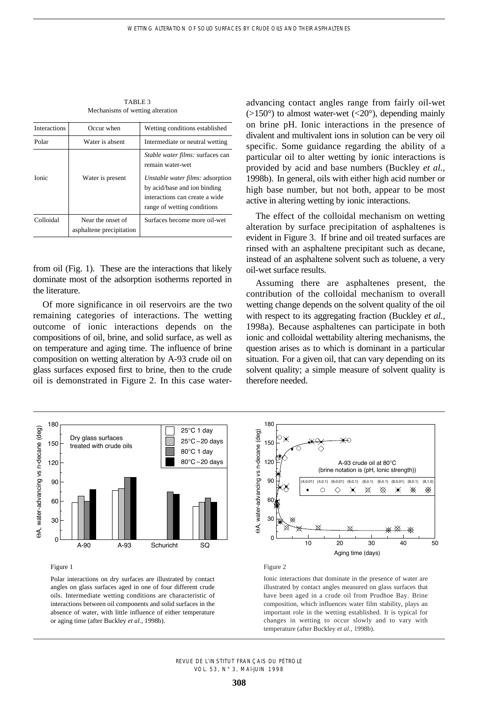TABLE 3 Mechanisms of wetting alteration

| <b>Interactions</b> | Occur when                                    | Wetting conditions established                                                                                                    |
|---------------------|-----------------------------------------------|-----------------------------------------------------------------------------------------------------------------------------------|
| Polar               | Water is absent                               | Intermediate or neutral wetting                                                                                                   |
|                     |                                               | Stable water films: surfaces can<br>remain water-wet                                                                              |
| <b>Ionic</b>        | Water is present                              | Unstable water films: adsorption<br>by acid/base and ion binding<br>interactions can create a wide<br>range of wetting conditions |
| Colloidal           | Near the onset of<br>asphaltene precipitation | Surfaces become more oil-wet                                                                                                      |

from oil (Fig. 1). These are the interactions that likely dominate most of the adsorption isotherms reported in the literature.

Of more significance in oil reservoirs are the two remaining categories of interactions. The wetting outcome of ionic interactions depends on the compositions of oil, brine, and solid surface, as well as on temperature and aging time. The influence of brine composition on wetting alteration by A-93 crude oil on glass surfaces exposed first to brine, then to the crude oil is demonstrated in Figure 2. In this case wateradvancing contact angles range from fairly oil-wet  $(>150^{\circ})$  to almost water-wet  $(<20^{\circ})$ , depending mainly on brine pH. Ionic interactions in the presence of divalent and multivalent ions in solution can be very oil specific. Some guidance regarding the ability of a particular oil to alter wetting by ionic interactions is provided by acid and base numbers (Buckley *et al.,* 1998b). In general, oils with either high acid number or high base number, but not both, appear to be most active in altering wetting by ionic interactions.

The effect of the colloidal mechanism on wetting alteration by surface precipitation of asphaltenes is evident in Figure 3. If brine and oil treated surfaces are rinsed with an asphaltene precipitant such as decane, instead of an asphaltene solvent such as toluene, a very oil-wet surface results.

Assuming there are asphaltenes present, the contribution of the colloidal mechanism to overall wetting change depends on the solvent quality of the oil with respect to its aggregating fraction (Buckley *et al.,* 1998a). Because asphaltenes can participate in both ionic and colloidal wettability altering mechanisms, the question arises as to which is dominant in a particular situation. For a given oil, that can vary depending on its solvent quality; a simple measure of solvent quality is therefore needed.



angles on glass surfaces aged in one of four different crude oils. Intermediate wetting conditions are characteristic of interactions between oil components and solid surfaces in the absence of water, with little influence of either temperature or aging time (after Buckley *et al.,* 1998b).

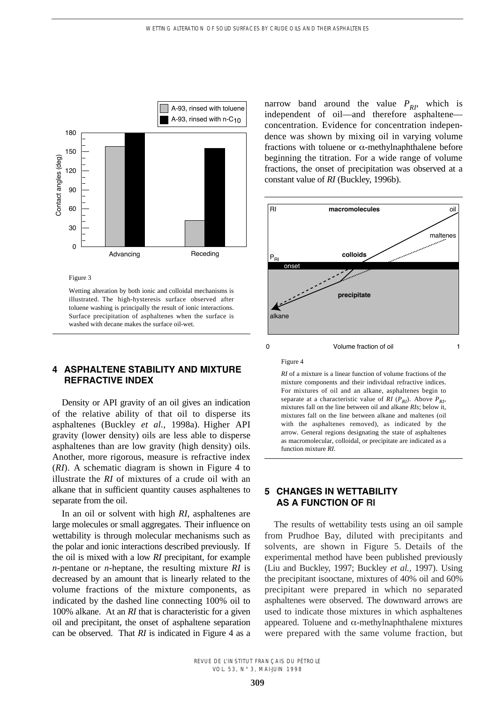

Figure 3

Wetting alteration by both ionic and colloidal mechanisms is illustrated. The high-hysteresis surface observed after toluene washing is principally the result of ionic interactions. Surface precipitation of asphaltenes when the surface is washed with decane makes the surface oil-wet.

# **4 ASPHALTENE STABILITY AND MIXTURE REFRACTIVE INDEX**

Density or API gravity of an oil gives an indication of the relative ability of that oil to disperse its asphaltenes (Buckley *et al.,* 1998a). Higher API gravity (lower density) oils are less able to disperse asphaltenes than are low gravity (high density) oils. Another, more rigorous, measure is refractive index (*RI*). A schematic diagram is shown in Figure 4 to illustrate the *RI* of mixtures of a crude oil with an alkane that in sufficient quantity causes asphaltenes to separate from the oil.

In an oil or solvent with high *RI*, asphaltenes are large molecules or small aggregates. Their influence on wettability is through molecular mechanisms such as the polar and ionic interactions described previously. If the oil is mixed with a low *RI* precipitant, for example *n*-pentane or *n*-heptane, the resulting mixture *RI* is decreased by an amount that is linearly related to the volume fractions of the mixture components, as indicated by the dashed line connecting 100% oil to 100% alkane. At an *RI* that is characteristic for a given oil and precipitant, the onset of asphaltene separation can be observed. That *RI* is indicated in Figure 4 as a

narrow band around the value  $P_{RI}$ , which is independent of oil—and therefore asphaltene concentration. Evidence for concentration independence was shown by mixing oil in varying volume fractions with toluene or  $\alpha$ -methylnaphthalene before beginning the titration. For a wide range of volume fractions, the onset of precipitation was observed at a constant value of *RI* (Buckley, 1996b).



Figure 4

*RI* of a mixture is a linear function of volume fractions of the mixture components and their individual refractive indices. For mixtures of oil and an alkane, asphaltenes begin to separate at a characteristic value of *RI* ( $P_{RI}$ ). Above  $P_{RI}$ , mixtures fall on the line between oil and alkane *RIs*; below it, mixtures fall on the line between alkane and maltenes (oil with the asphaltenes removed), as indicated by the arrow. General regions designating the state of asphaltenes as macromolecular, colloidal, or precipitate are indicated as a function mixture *RI*.

# **5 CHANGES IN WETTABILITY AS A FUNCTION OF RI**

The results of wettability tests using an oil sample from Prudhoe Bay, diluted with precipitants and solvents, are shown in Figure 5. Details of the experimental method have been published previously (Liu and Buckley, 1997; Buckley *et al.,* 1997). Using the precipitant isooctane, mixtures of 40% oil and 60% precipitant were prepared in which no separated asphaltenes were observed. The downward arrows are used to indicate those mixtures in which asphaltenes appeared. Toluene and  $\alpha$ -methylnaphthalene mixtures were prepared with the same volume fraction, but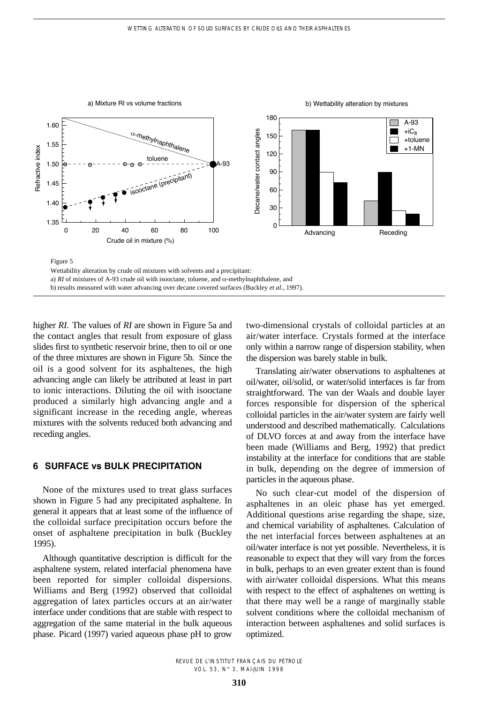

higher *RI*. The values of *RI* are shown in Figure 5a and the contact angles that result from exposure of glass slides first to synthetic reservoir brine, then to oil or one of the three mixtures are shown in Figure 5b. Since the oil is a good solvent for its asphaltenes, the high advancing angle can likely be attributed at least in part to ionic interactions. Diluting the oil with isooctane produced a similarly high advancing angle and a significant increase in the receding angle, whereas mixtures with the solvents reduced both advancing and receding angles.

## **6 SURFACE vs BULK PRECIPITATION**

None of the mixtures used to treat glass surfaces shown in Figure 5 had any precipitated asphaltene. In general it appears that at least some of the influence of the colloidal surface precipitation occurs before the onset of asphaltene precipitation in bulk (Buckley 1995).

Although quantitative description is difficult for the asphaltene system, related interfacial phenomena have been reported for simpler colloidal dispersions. Williams and Berg (1992) observed that colloidal aggregation of latex particles occurs at an air/water interface under conditions that are stable with respect to aggregation of the same material in the bulk aqueous phase. Picard (1997) varied aqueous phase pH to grow

two-dimensional crystals of colloidal particles at an air/water interface. Crystals formed at the interface only within a narrow range of dispersion stability, when the dispersion was barely stable in bulk.

Translating air/water observations to asphaltenes at oil/water, oil/solid, or water/solid interfaces is far from straightforward. The van der Waals and double layer forces responsible for dispersion of the spherical colloidal particles in the air/water system are fairly well understood and described mathematically. Calculations of DLVO forces at and away from the interface have been made (Williams and Berg, 1992) that predict instability at the interface for conditions that are stable in bulk, depending on the degree of immersion of particles in the aqueous phase.

No such clear-cut model of the dispersion of asphaltenes in an oleic phase has yet emerged. Additional questions arise regarding the shape, size, and chemical variability of asphaltenes. Calculation of the net interfacial forces between asphaltenes at an oil/water interface is not yet possible. Nevertheless, it is reasonable to expect that they will vary from the forces in bulk, perhaps to an even greater extent than is found with air/water colloidal dispersions. What this means with respect to the effect of asphaltenes on wetting is that there may well be a range of marginally stable solvent conditions where the colloidal mechanism of interaction between asphaltenes and solid surfaces is optimized.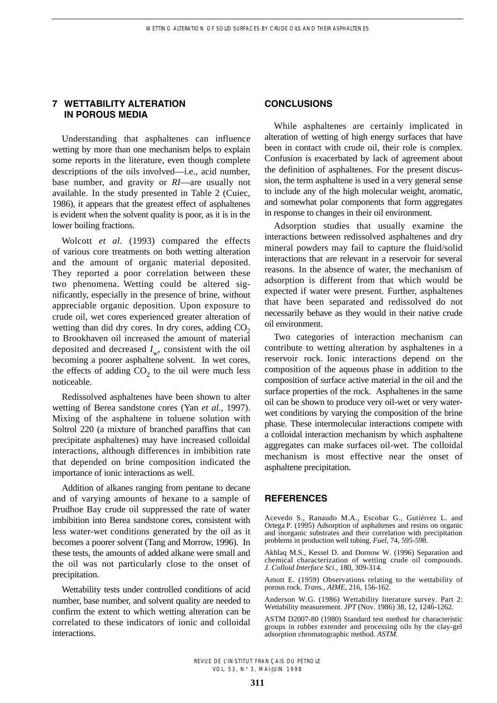# **7 WETTABILITY ALTERATION IN POROUS MEDIA**

Understanding that asphaltenes can influence wetting by more than one mechanism helps to explain some reports in the literature, even though complete descriptions of the oils involved—i.e., acid number, base number, and gravity or *RI*—are usually not available. In the study presented in Table 2 (Cuiec, 1986), it appears that the greatest effect of asphaltenes is evident when the solvent quality is poor, as it is in the lower boiling fractions.

Wolcott *et al.* (1993) compared the effects of various core treatments on both wetting alteration and the amount of organic material deposited. They reported a poor correlation between these two phenomena. Wetting could be altered significantly, especially in the presence of brine, without appreciable organic deposition. Upon exposure to crude oil, wet cores experienced greater alteration of wetting than did dry cores. In dry cores, adding  $CO<sub>2</sub>$ to Brookhaven oil increased the amount of material deposited and decreased  $I_w$ , consistent with the oil becoming a poorer asphaltene solvent. In wet cores, the effects of adding  $CO<sub>2</sub>$  to the oil were much less noticeable.

Redissolved asphaltenes have been shown to alter wetting of Berea sandstone cores (Yan *et al.,* 1997). Mixing of the asphaltene in toluene solution with Soltrol 220 (a mixture of branched paraffins that can precipitate asphaltenes) may have increased colloidal interactions, although differences in imbibition rate that depended on brine composition indicated the importance of ionic interactions as well.

Addition of alkanes ranging from pentane to decane and of varying amounts of hexane to a sample of Prudhoe Bay crude oil suppressed the rate of water imbibition into Berea sandstone cores, consistent with less water-wet conditions generated by the oil as it becomes a poorer solvent (Tang and Morrow, 1996). In these tests, the amounts of added alkane were small and the oil was not particularly close to the onset of precipitation.

Wettability tests under controlled conditions of acid number, base number, and solvent quality are needed to confirm the extent to which wetting alteration can be correlated to these indicators of ionic and colloidal interactions.

#### **CONCLUSIONS**

While asphaltenes are certainly implicated in alteration of wetting of high energy surfaces that have been in contact with crude oil, their role is complex. Confusion is exacerbated by lack of agreement about the definition of asphaltenes. For the present discussion, the term asphaltene is used in a very general sense to include any of the high molecular weight, aromatic, and somewhat polar components that form aggregates in response to changes in their oil environment.

Adsorption studies that usually examine the interactions between redissolved asphaltenes and dry mineral powders may fail to capture the fluid/solid interactions that are relevant in a reservoir for several reasons. In the absence of water, the mechanism of adsorption is different from that which would be expected if water were present. Further, asphaltenes that have been separated and redissolved do not necessarily behave as they would in their native crude oil environment.

Two categories of interaction mechanism can contribute to wetting alteration by asphaltenes in a reservoir rock. Ionic interactions depend on the composition of the aqueous phase in addition to the composition of surface active material in the oil and the surface properties of the rock. Asphaltenes in the same oil can be shown to produce very oil-wet or very waterwet conditions by varying the composition of the brine phase. These intermolecular interactions compete with a colloidal interaction mechanism by which asphaltene aggregates can make surfaces oil-wet. The colloidal mechanism is most effective near the onset of asphaltene precipitation.

#### **REFERENCES**

Acevedo S., Ranaudo M.A., Escobar G., Gutiérrez L. and Ortega P. (1995) Adsorption of asphaltenes and resins on organic and inorganic substrates and their correlation with precipitation problems in production well tubing. *Fuel,* 74, 595-598.

Akhlaq M.S., Kessel D. and Dornow W. (1996) Separation and chemical characterization of wetting crude oil compounds. *J. Colloid Interface Sci.,* 180, 309-314.

Amott E. (1959) Observations relating to the wettability of porous rock. *Trans., AIME,* 216, 156-162.

Anderson W.G. (1986) Wettability literature survey. Part 2: Wettability measurement. *JPT* (Nov. 1986) 38, 12, 1246-1262.

ASTM D2007-80 (1980) Standard test method for characteristic groups in rubber extender and processing oils by the clay-gel adsorption chromatographic method. *ASTM.*